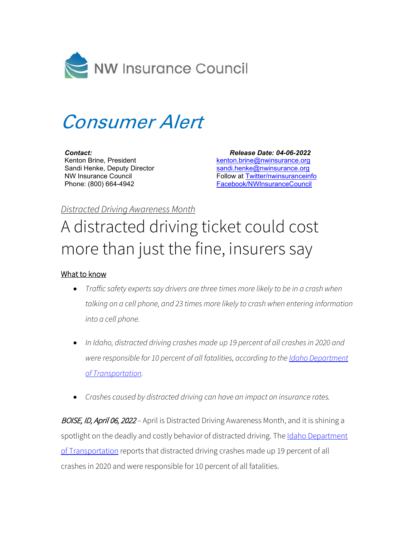

## Consumer Alert

*Contact:* Kenton Brine, President Sandi Henke, Deputy Director NW Insurance Council Phone: (800) 664-4942

 *Release Date: 04-06-2022*  [kenton.brine@nwinsurance.org](mailto:kenton.brine@nwinsurance.org) [sandi.henke@nwinsurance.org](mailto:sandi.henke@nwinsurance.org) Follow at [Twitter/nwinsuranceinfo](http://twitter.com/#!/nwinsuranceinfo) [Facebook/NWInsuranceCouncil](https://www.facebook.com/NWInsuranceCouncil)

## *Distracted Driving Awareness Month*

## A distracted driving ticket could cost more than just the fine, insurers say

## What to know

- *Traffic safety experts say drivers are three times more likely to be in a crash when talking on a cell phone, and 23 times more likely to crash when entering information into a cell phone.*
- *In Idaho, distracted driving crashes made up 19 percent of all crashes in 2020 and were responsible for 10 percent of all fatalities, according to the Idaho [Department](https://apps.itd.idaho.gov/Apps/OHS/Crash/20/Distracted.pdf) of [Transportation.](https://apps.itd.idaho.gov/Apps/OHS/Crash/20/Distracted.pdf)*
- *Crashes caused by distracted driving can have an impact on insurance rates.*

BOISE, ID, April 06, 2022 - April is Distracted Driving Awareness Month, and it is shining a spotlight on the deadly and costly behavior of distracted driving. The Idaho Department [of Transportation](https://itd.idaho.gov/safety/) reports that distracted driving crashes made up 19 percent of all crashes in 2020 and were responsible for 10 percent of all fatalities.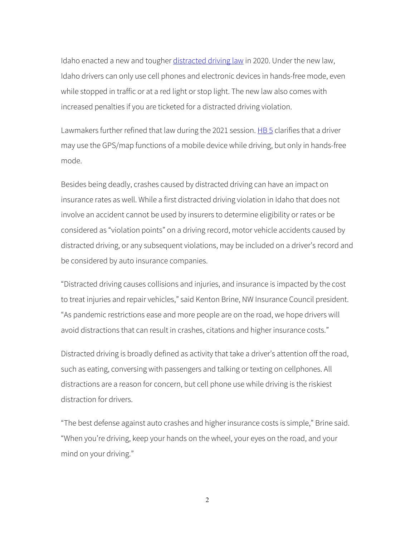Idaho enacted a new and tougher [distracted driving law](https://legislature.idaho.gov/statutesrules/idstat/title49/t49ch14/sect49-1401a/) in 2020. Under the new law, Idaho drivers can only use cell phones and electronic devices in hands-free mode, even while stopped in traffic or at a red light or stop light. The new law also comes with increased penalties if you are ticketed for a distracted driving violation.

Lawmakers further refined that law during the 2021 session. [HB 5](https://legislature.idaho.gov/sessioninfo/2021/legislation/H0005/) clarifies that a driver may use the GPS/map functions of a mobile device while driving, but only in hands-free mode.

Besides being deadly, crashes caused by distracted driving can have an impact on insurance rates as well. While a first distracted driving violation in Idaho that does not involve an accident cannot be used by insurers to determine eligibility or rates or be considered as "violation points" on a driving record, motor vehicle accidents caused by distracted driving, or any subsequent violations, may be included on a driver's record and be considered by auto insurance companies.

"Distracted driving causes collisions and injuries, and insurance is impacted by the cost to treat injuries and repair vehicles," said Kenton Brine, NW Insurance Council president. "As pandemic restrictions ease and more people are on the road, we hope drivers will avoid distractions that can result in crashes, citations and higher insurance costs."

Distracted driving is broadly defined as activity that take a driver's attention off the road, such as eating, conversing with passengers and talking or texting on cellphones. All distractions are a reason for concern, but cell phone use while driving is the riskiest distraction for drivers.

"The best defense against auto crashes and higher insurance costs is simple," Brine said. "When you're driving, keep your hands on the wheel, your eyes on the road, and your mind on your driving."

2